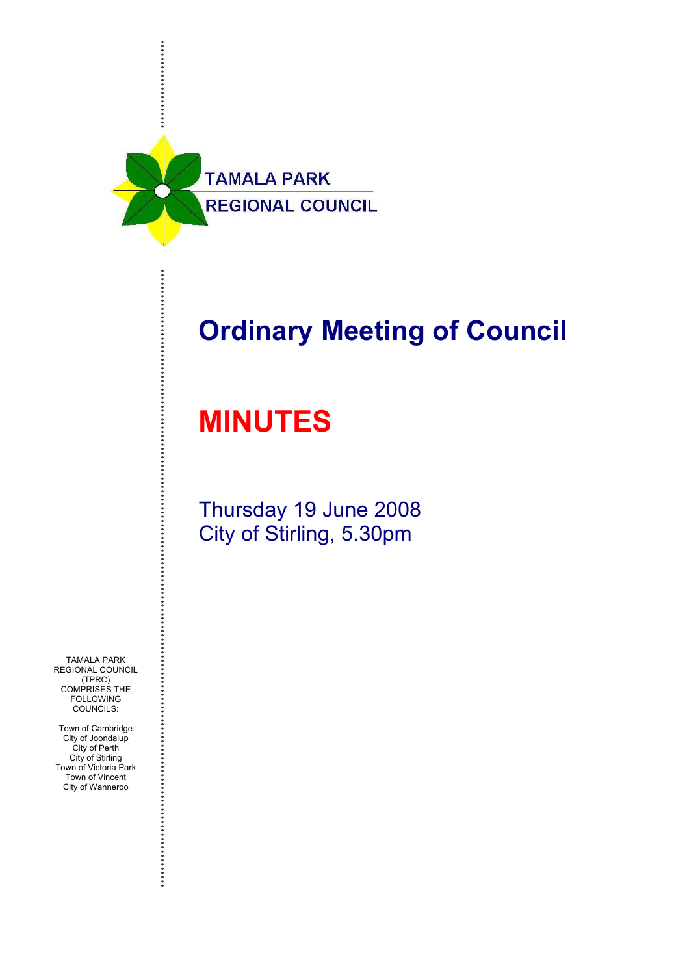

# **Ordinary Meeting of Council**

# **MINUTES**

Thursday 19 June 2008 City of Stirling, 5.30pm

TAMALA PARK REGIONAL COUNCIL (TPRC) COMPRISES THE FOLLOWING COUNCILS:

Town of Cambridge City of Joondalup City of Perth City of Stirling Town of Victoria Park Town of Vincent City of Wanneroo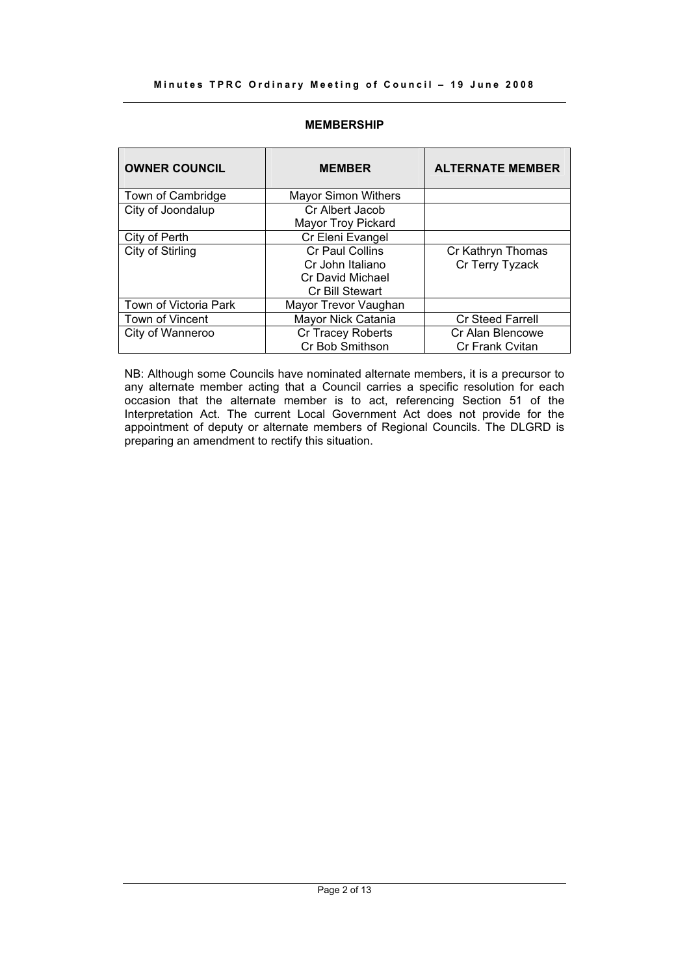#### **Minutes TPRC Ordinary Meeting of Council – 19 June 2008**

#### **MEMBERSHIP**

| <b>OWNER COUNCIL</b>  | <b>MEMBER</b>              | <b>ALTERNATE MEMBER</b> |
|-----------------------|----------------------------|-------------------------|
| Town of Cambridge     | <b>Mayor Simon Withers</b> |                         |
| City of Joondalup     | Cr Albert Jacob            |                         |
|                       | Mayor Troy Pickard         |                         |
| City of Perth         | Cr Eleni Evangel           |                         |
| City of Stirling      | <b>Cr Paul Collins</b>     | Cr Kathryn Thomas       |
|                       | Cr John Italiano           | Cr Terry Tyzack         |
|                       | <b>Cr David Michael</b>    |                         |
|                       | Cr Bill Stewart            |                         |
| Town of Victoria Park | Mayor Trevor Vaughan       |                         |
| Town of Vincent       | Mayor Nick Catania         | <b>Cr Steed Farrell</b> |
| City of Wanneroo      | Cr Tracey Roberts          | Cr Alan Blencowe        |
|                       | Cr Bob Smithson            | <b>Cr Frank Cvitan</b>  |

NB: Although some Councils have nominated alternate members, it is a precursor to any alternate member acting that a Council carries a specific resolution for each occasion that the alternate member is to act, referencing Section 51 of the Interpretation Act. The current Local Government Act does not provide for the appointment of deputy or alternate members of Regional Councils. The DLGRD is preparing an amendment to rectify this situation.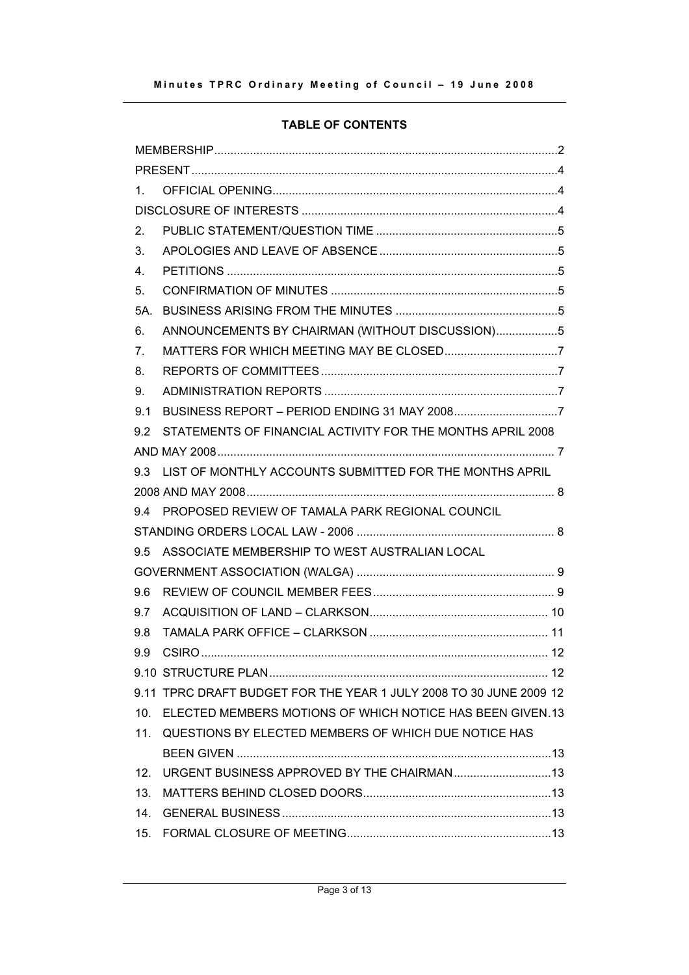# **TABLE OF CONTENTS**

| $1_{-}$         |                                                                    |  |  |  |
|-----------------|--------------------------------------------------------------------|--|--|--|
|                 |                                                                    |  |  |  |
| 2.              |                                                                    |  |  |  |
| 3.              |                                                                    |  |  |  |
| 4.              |                                                                    |  |  |  |
| 5.              |                                                                    |  |  |  |
| 5A              |                                                                    |  |  |  |
| 6.              | ANNOUNCEMENTS BY CHAIRMAN (WITHOUT DISCUSSION)5                    |  |  |  |
| 7 <sub>1</sub>  |                                                                    |  |  |  |
| 8.              |                                                                    |  |  |  |
| 9.              |                                                                    |  |  |  |
| 9.1             |                                                                    |  |  |  |
| 9.2             | STATEMENTS OF FINANCIAL ACTIVITY FOR THE MONTHS APRIL 2008         |  |  |  |
|                 |                                                                    |  |  |  |
|                 | 9.3 LIST OF MONTHLY ACCOUNTS SUBMITTED FOR THE MONTHS APRIL        |  |  |  |
|                 |                                                                    |  |  |  |
|                 | 9.4 PROPOSED REVIEW OF TAMALA PARK REGIONAL COUNCIL                |  |  |  |
|                 |                                                                    |  |  |  |
| 9.5             | ASSOCIATE MEMBERSHIP TO WEST AUSTRALIAN LOCAL                      |  |  |  |
|                 |                                                                    |  |  |  |
| 9.6             |                                                                    |  |  |  |
| 9.7             |                                                                    |  |  |  |
| 9.8             |                                                                    |  |  |  |
| 9.9             |                                                                    |  |  |  |
|                 |                                                                    |  |  |  |
|                 | 9.11 TPRC DRAFT BUDGET FOR THE YEAR 1 JULY 2008 TO 30 JUNE 2009 12 |  |  |  |
|                 | 10. ELECTED MEMBERS MOTIONS OF WHICH NOTICE HAS BEEN GIVEN.13      |  |  |  |
|                 | 11. QUESTIONS BY ELECTED MEMBERS OF WHICH DUE NOTICE HAS           |  |  |  |
|                 |                                                                    |  |  |  |
| 12 <sub>1</sub> |                                                                    |  |  |  |
| 13.             |                                                                    |  |  |  |
| $14_{\ldots}$   |                                                                    |  |  |  |
|                 |                                                                    |  |  |  |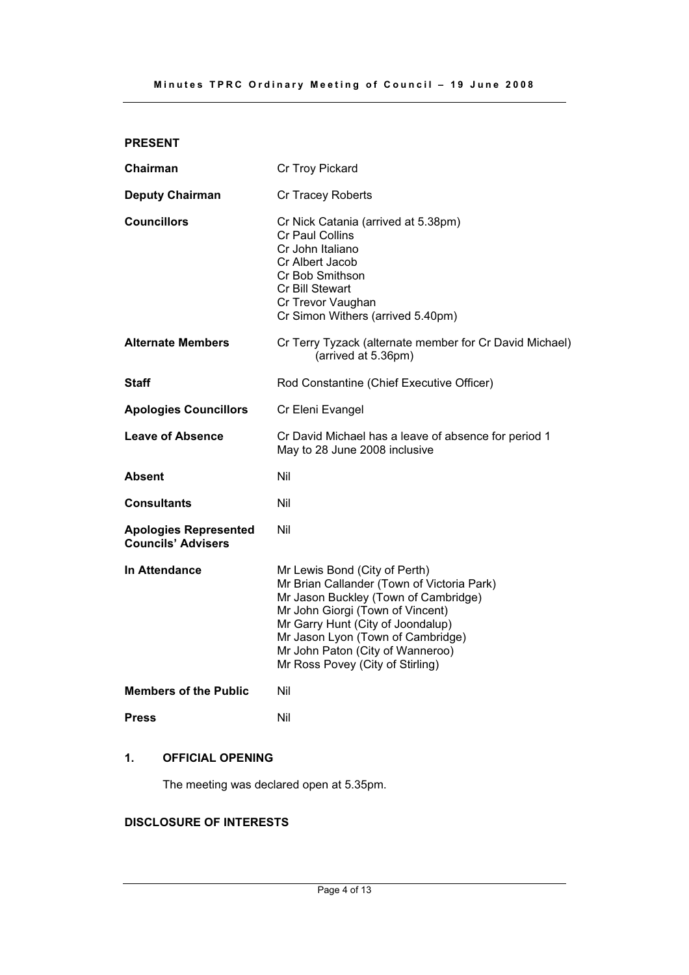# **PRESENT**

| Chairman                                                  | Cr Troy Pickard                                                                                                                                                                                                                                                                                           |  |
|-----------------------------------------------------------|-----------------------------------------------------------------------------------------------------------------------------------------------------------------------------------------------------------------------------------------------------------------------------------------------------------|--|
| <b>Deputy Chairman</b>                                    | Cr Tracey Roberts                                                                                                                                                                                                                                                                                         |  |
| <b>Councillors</b>                                        | Cr Nick Catania (arrived at 5.38pm)<br><b>Cr Paul Collins</b><br>Cr John Italiano<br>Cr Albert Jacob<br>Cr Bob Smithson<br>Cr Bill Stewart<br>Cr Trevor Vaughan<br>Cr Simon Withers (arrived 5.40pm)                                                                                                      |  |
| <b>Alternate Members</b>                                  | Cr Terry Tyzack (alternate member for Cr David Michael)<br>(arrived at 5.36pm)                                                                                                                                                                                                                            |  |
| <b>Staff</b>                                              | Rod Constantine (Chief Executive Officer)                                                                                                                                                                                                                                                                 |  |
| <b>Apologies Councillors</b>                              | Cr Eleni Evangel                                                                                                                                                                                                                                                                                          |  |
| <b>Leave of Absence</b>                                   | Cr David Michael has a leave of absence for period 1<br>May to 28 June 2008 inclusive                                                                                                                                                                                                                     |  |
| <b>Absent</b>                                             | Nil                                                                                                                                                                                                                                                                                                       |  |
| <b>Consultants</b>                                        | Nil                                                                                                                                                                                                                                                                                                       |  |
| <b>Apologies Represented</b><br><b>Councils' Advisers</b> | Nil                                                                                                                                                                                                                                                                                                       |  |
| In Attendance                                             | Mr Lewis Bond (City of Perth)<br>Mr Brian Callander (Town of Victoria Park)<br>Mr Jason Buckley (Town of Cambridge)<br>Mr John Giorgi (Town of Vincent)<br>Mr Garry Hunt (City of Joondalup)<br>Mr Jason Lyon (Town of Cambridge)<br>Mr John Paton (City of Wanneroo)<br>Mr Ross Povey (City of Stirling) |  |
| <b>Members of the Public</b>                              | Nil                                                                                                                                                                                                                                                                                                       |  |
| <b>Press</b>                                              | Nil                                                                                                                                                                                                                                                                                                       |  |

# **1. OFFICIAL OPENING**

The meeting was declared open at 5.35pm.

# **DISCLOSURE OF INTERESTS**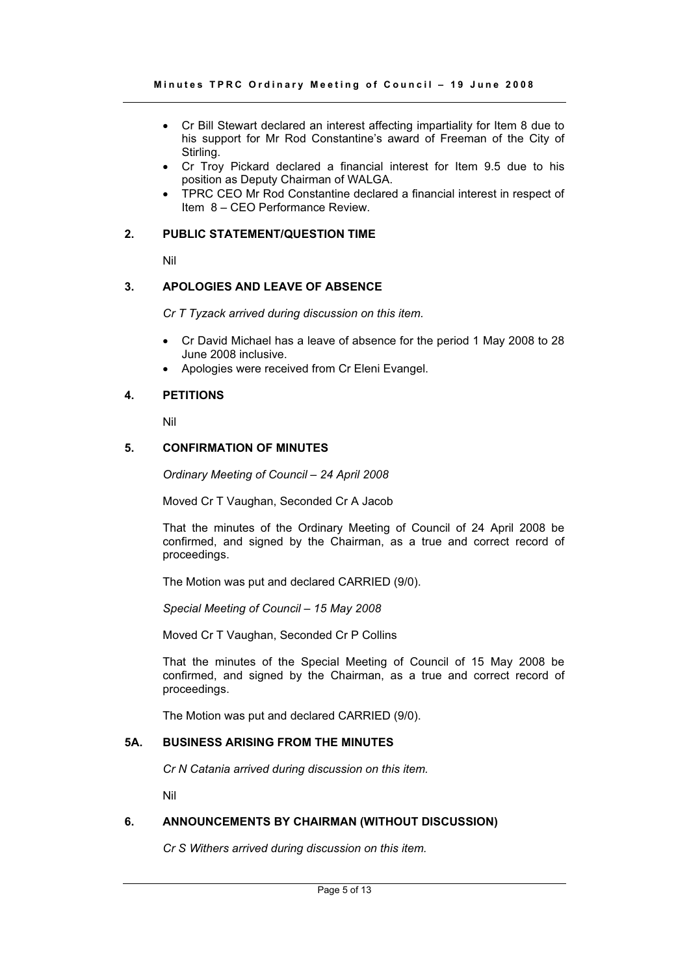- Cr Bill Stewart declared an interest affecting impartiality for Item 8 due to his support for Mr Rod Constantine's award of Freeman of the City of Stirling.
- Cr Troy Pickard declared a financial interest for Item 9.5 due to his position as Deputy Chairman of WALGA.
- TPRC CEO Mr Rod Constantine declared a financial interest in respect of Item 8 – CEO Performance Review.

#### **2. PUBLIC STATEMENT/QUESTION TIME**

Nil

#### **3. APOLOGIES AND LEAVE OF ABSENCE**

*Cr T Tyzack arrived during discussion on this item.* 

- Cr David Michael has a leave of absence for the period 1 May 2008 to 28 June 2008 inclusive.
- Apologies were received from Cr Eleni Evangel.

# **4. PETITIONS**

Nil

# **5. CONFIRMATION OF MINUTES**

*Ordinary Meeting of Council – 24 April 2008* 

Moved Cr T Vaughan, Seconded Cr A Jacob

That the minutes of the Ordinary Meeting of Council of 24 April 2008 be confirmed, and signed by the Chairman, as a true and correct record of proceedings.

The Motion was put and declared CARRIED (9/0).

*Special Meeting of Council – 15 May 2008* 

Moved Cr T Vaughan, Seconded Cr P Collins

That the minutes of the Special Meeting of Council of 15 May 2008 be confirmed, and signed by the Chairman, as a true and correct record of proceedings.

The Motion was put and declared CARRIED (9/0).

# **5A. BUSINESS ARISING FROM THE MINUTES**

*Cr N Catania arrived during discussion on this item.* 

Nil

#### **6. ANNOUNCEMENTS BY CHAIRMAN (WITHOUT DISCUSSION)**

*Cr S Withers arrived during discussion on this item.*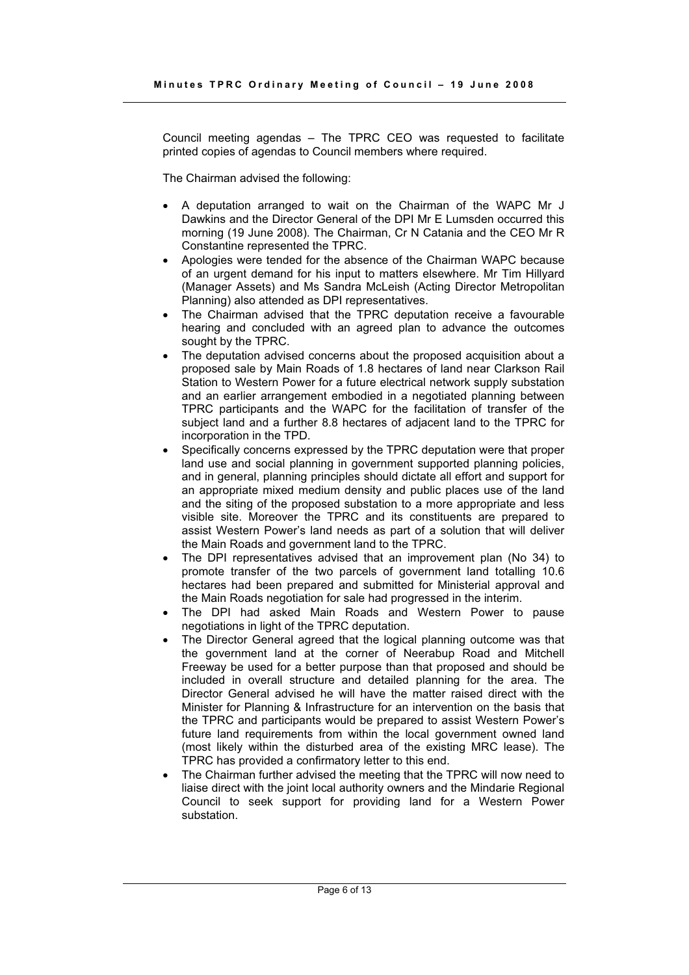Council meeting agendas – The TPRC CEO was requested to facilitate printed copies of agendas to Council members where required.

The Chairman advised the following:

- A deputation arranged to wait on the Chairman of the WAPC Mr J Dawkins and the Director General of the DPI Mr E Lumsden occurred this morning (19 June 2008). The Chairman, Cr N Catania and the CEO Mr R Constantine represented the TPRC.
- Apologies were tended for the absence of the Chairman WAPC because of an urgent demand for his input to matters elsewhere. Mr Tim Hillyard (Manager Assets) and Ms Sandra McLeish (Acting Director Metropolitan Planning) also attended as DPI representatives.
- The Chairman advised that the TPRC deputation receive a favourable hearing and concluded with an agreed plan to advance the outcomes sought by the TPRC.
- The deputation advised concerns about the proposed acquisition about a proposed sale by Main Roads of 1.8 hectares of land near Clarkson Rail Station to Western Power for a future electrical network supply substation and an earlier arrangement embodied in a negotiated planning between TPRC participants and the WAPC for the facilitation of transfer of the subject land and a further 8.8 hectares of adjacent land to the TPRC for incorporation in the TPD.
- Specifically concerns expressed by the TPRC deputation were that proper land use and social planning in government supported planning policies, and in general, planning principles should dictate all effort and support for an appropriate mixed medium density and public places use of the land and the siting of the proposed substation to a more appropriate and less visible site. Moreover the TPRC and its constituents are prepared to assist Western Power's land needs as part of a solution that will deliver the Main Roads and government land to the TPRC.
- The DPI representatives advised that an improvement plan (No 34) to promote transfer of the two parcels of government land totalling 10.6 hectares had been prepared and submitted for Ministerial approval and the Main Roads negotiation for sale had progressed in the interim.
- The DPI had asked Main Roads and Western Power to pause negotiations in light of the TPRC deputation.
- The Director General agreed that the logical planning outcome was that the government land at the corner of Neerabup Road and Mitchell Freeway be used for a better purpose than that proposed and should be included in overall structure and detailed planning for the area. The Director General advised he will have the matter raised direct with the Minister for Planning & Infrastructure for an intervention on the basis that the TPRC and participants would be prepared to assist Western Power's future land requirements from within the local government owned land (most likely within the disturbed area of the existing MRC lease). The TPRC has provided a confirmatory letter to this end.
- The Chairman further advised the meeting that the TPRC will now need to liaise direct with the joint local authority owners and the Mindarie Regional Council to seek support for providing land for a Western Power substation.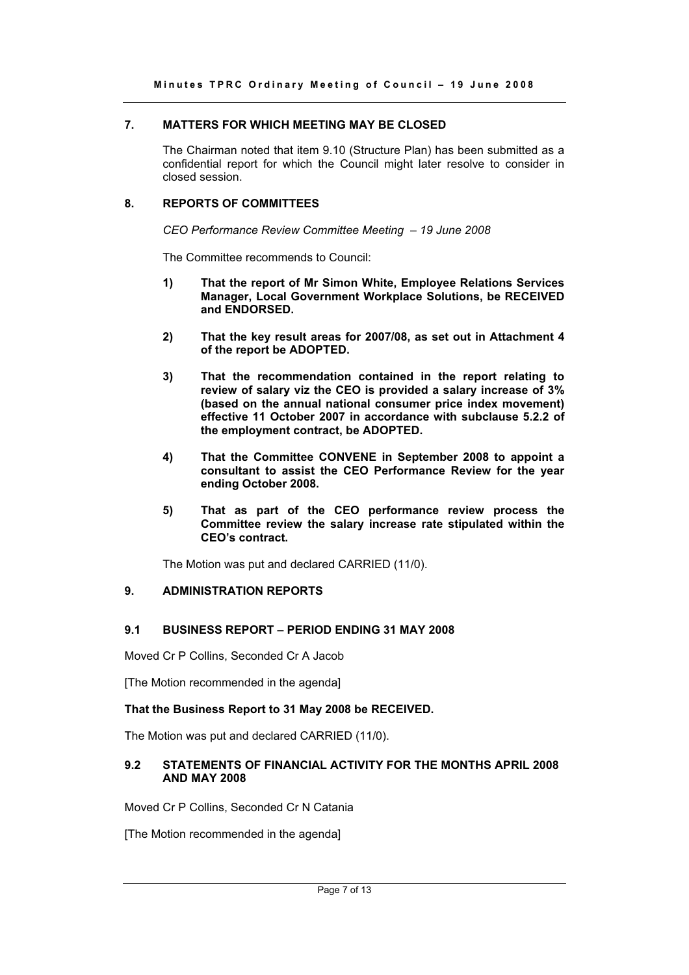# **7. MATTERS FOR WHICH MEETING MAY BE CLOSED**

The Chairman noted that item 9.10 (Structure Plan) has been submitted as a confidential report for which the Council might later resolve to consider in closed session.

# **8. REPORTS OF COMMITTEES**

*CEO Performance Review Committee Meeting – 19 June 2008* 

The Committee recommends to Council:

- **1) That the report of Mr Simon White, Employee Relations Services Manager, Local Government Workplace Solutions, be RECEIVED and ENDORSED.**
- **2) That the key result areas for 2007/08, as set out in Attachment 4 of the report be ADOPTED.**
- **3) That the recommendation contained in the report relating to review of salary viz the CEO is provided a salary increase of 3% (based on the annual national consumer price index movement) effective 11 October 2007 in accordance with subclause 5.2.2 of the employment contract, be ADOPTED.**
- **4) That the Committee CONVENE in September 2008 to appoint a consultant to assist the CEO Performance Review for the year ending October 2008.**
- **5) That as part of the CEO performance review process the Committee review the salary increase rate stipulated within the CEO's contract.**

The Motion was put and declared CARRIED (11/0).

# **9. ADMINISTRATION REPORTS**

# **9.1 BUSINESS REPORT – PERIOD ENDING 31 MAY 2008**

Moved Cr P Collins, Seconded Cr A Jacob

[The Motion recommended in the agenda]

# **That the Business Report to 31 May 2008 be RECEIVED.**

The Motion was put and declared CARRIED (11/0).

# **9.2 STATEMENTS OF FINANCIAL ACTIVITY FOR THE MONTHS APRIL 2008 AND MAY 2008**

Moved Cr P Collins, Seconded Cr N Catania

[The Motion recommended in the agenda]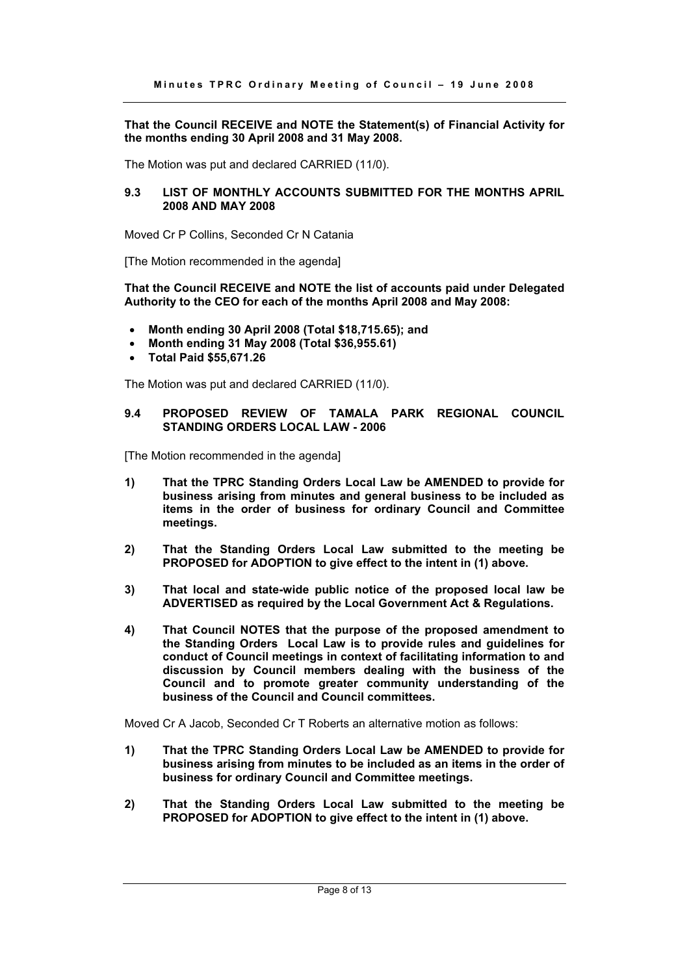**That the Council RECEIVE and NOTE the Statement(s) of Financial Activity for the months ending 30 April 2008 and 31 May 2008.** 

The Motion was put and declared CARRIED (11/0).

# **9.3 LIST OF MONTHLY ACCOUNTS SUBMITTED FOR THE MONTHS APRIL 2008 AND MAY 2008**

Moved Cr P Collins, Seconded Cr N Catania

[The Motion recommended in the agenda]

**That the Council RECEIVE and NOTE the list of accounts paid under Delegated Authority to the CEO for each of the months April 2008 and May 2008:** 

- **Month ending 30 April 2008 (Total \$18,715.65); and**
- **Month ending 31 May 2008 (Total \$36,955.61)**
- **Total Paid \$55,671.26**

The Motion was put and declared CARRIED (11/0).

#### **9.4 PROPOSED REVIEW OF TAMALA PARK REGIONAL COUNCIL STANDING ORDERS LOCAL LAW - 2006**

[The Motion recommended in the agenda]

- **1) That the TPRC Standing Orders Local Law be AMENDED to provide for business arising from minutes and general business to be included as items in the order of business for ordinary Council and Committee meetings.**
- **2) That the Standing Orders Local Law submitted to the meeting be PROPOSED for ADOPTION to give effect to the intent in (1) above.**
- **3) That local and state-wide public notice of the proposed local law be ADVERTISED as required by the Local Government Act & Regulations.**
- **4) That Council NOTES that the purpose of the proposed amendment to the Standing Orders Local Law is to provide rules and guidelines for conduct of Council meetings in context of facilitating information to and discussion by Council members dealing with the business of the Council and to promote greater community understanding of the business of the Council and Council committees.**

Moved Cr A Jacob, Seconded Cr T Roberts an alternative motion as follows:

- **1) That the TPRC Standing Orders Local Law be AMENDED to provide for business arising from minutes to be included as an items in the order of business for ordinary Council and Committee meetings.**
- **2) That the Standing Orders Local Law submitted to the meeting be PROPOSED for ADOPTION to give effect to the intent in (1) above.**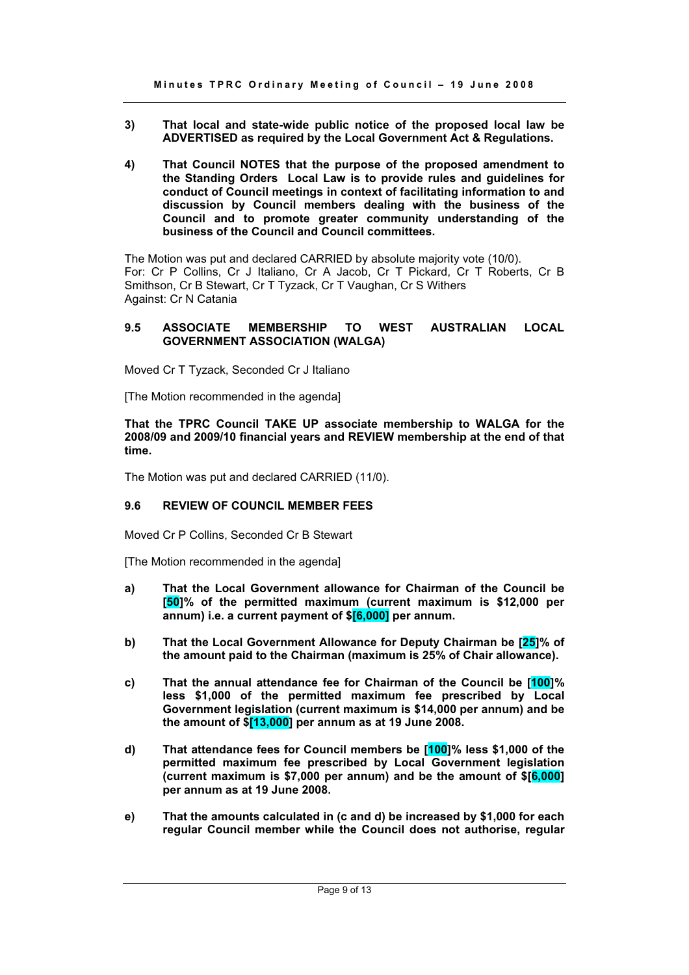- **3) That local and state-wide public notice of the proposed local law be ADVERTISED as required by the Local Government Act & Regulations.**
- **4) That Council NOTES that the purpose of the proposed amendment to the Standing Orders Local Law is to provide rules and guidelines for conduct of Council meetings in context of facilitating information to and discussion by Council members dealing with the business of the Council and to promote greater community understanding of the business of the Council and Council committees.**

The Motion was put and declared CARRIED by absolute majority vote (10/0). For: Cr P Collins, Cr J Italiano, Cr A Jacob, Cr T Pickard, Cr T Roberts, Cr B Smithson, Cr B Stewart, Cr T Tyzack, Cr T Vaughan, Cr S Withers Against: Cr N Catania

### **9.5 ASSOCIATE MEMBERSHIP TO WEST AUSTRALIAN LOCAL GOVERNMENT ASSOCIATION (WALGA)**

Moved Cr T Tyzack, Seconded Cr J Italiano

[The Motion recommended in the agenda]

**That the TPRC Council TAKE UP associate membership to WALGA for the 2008/09 and 2009/10 financial years and REVIEW membership at the end of that time.**

The Motion was put and declared CARRIED (11/0).

# **9.6 REVIEW OF COUNCIL MEMBER FEES**

Moved Cr P Collins, Seconded Cr B Stewart

[The Motion recommended in the agenda]

- **a) That the Local Government allowance for Chairman of the Council be [50]% of the permitted maximum (current maximum is \$12,000 per annum) i.e. a current payment of \$[6,000] per annum.**
- **b) That the Local Government Allowance for Deputy Chairman be [25]% of the amount paid to the Chairman (maximum is 25% of Chair allowance).**
- **c) That the annual attendance fee for Chairman of the Council be [100]% less \$1,000 of the permitted maximum fee prescribed by Local Government legislation (current maximum is \$14,000 per annum) and be the amount of \$[13,000] per annum as at 19 June 2008.**
- **d) That attendance fees for Council members be [100]% less \$1,000 of the permitted maximum fee prescribed by Local Government legislation (current maximum is \$7,000 per annum) and be the amount of \$[6,000] per annum as at 19 June 2008.**
- **e) That the amounts calculated in (c and d) be increased by \$1,000 for each regular Council member while the Council does not authorise, regular**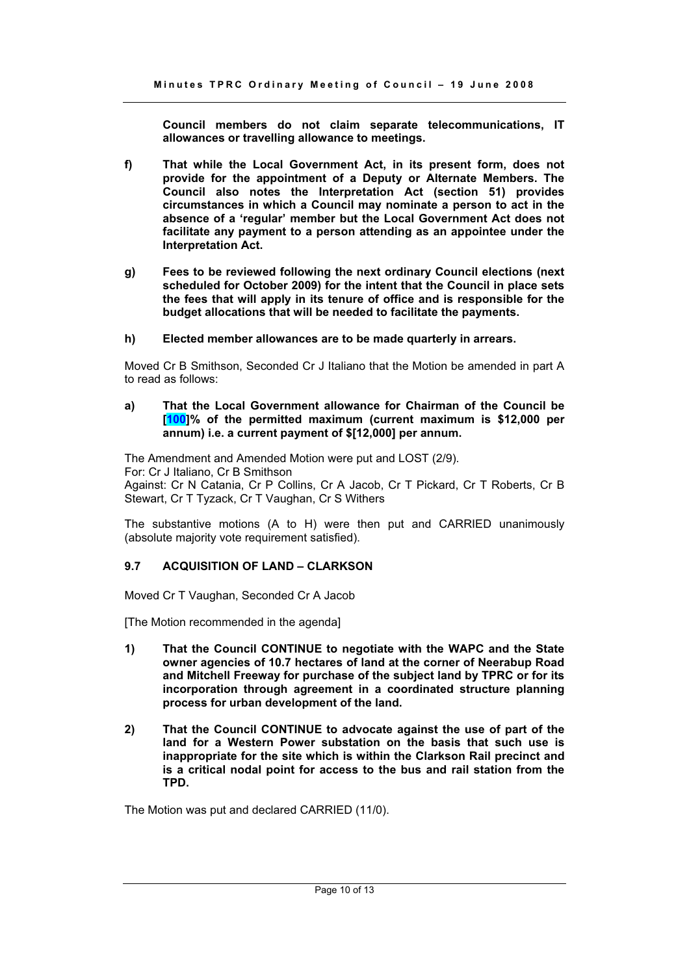**Council members do not claim separate telecommunications, IT allowances or travelling allowance to meetings.** 

- **f) That while the Local Government Act, in its present form, does not provide for the appointment of a Deputy or Alternate Members. The Council also notes the Interpretation Act (section 51) provides circumstances in which a Council may nominate a person to act in the absence of a 'regular' member but the Local Government Act does not facilitate any payment to a person attending as an appointee under the Interpretation Act.**
- **g) Fees to be reviewed following the next ordinary Council elections (next scheduled for October 2009) for the intent that the Council in place sets the fees that will apply in its tenure of office and is responsible for the budget allocations that will be needed to facilitate the payments.**
- **h) Elected member allowances are to be made quarterly in arrears.**

Moved Cr B Smithson, Seconded Cr J Italiano that the Motion be amended in part A to read as follows:

#### **a) That the Local Government allowance for Chairman of the Council be [100]% of the permitted maximum (current maximum is \$12,000 per annum) i.e. a current payment of \$[12,000] per annum.**

The Amendment and Amended Motion were put and LOST (2/9). For: Cr J Italiano, Cr B Smithson Against: Cr N Catania, Cr P Collins, Cr A Jacob, Cr T Pickard, Cr T Roberts, Cr B Stewart, Cr T Tyzack, Cr T Vaughan, Cr S Withers

The substantive motions (A to H) were then put and CARRIED unanimously (absolute majority vote requirement satisfied).

# **9.7 ACQUISITION OF LAND – CLARKSON**

Moved Cr T Vaughan, Seconded Cr A Jacob

[The Motion recommended in the agenda]

- **1) That the Council CONTINUE to negotiate with the WAPC and the State owner agencies of 10.7 hectares of land at the corner of Neerabup Road and Mitchell Freeway for purchase of the subject land by TPRC or for its incorporation through agreement in a coordinated structure planning process for urban development of the land.**
- **2) That the Council CONTINUE to advocate against the use of part of the land for a Western Power substation on the basis that such use is inappropriate for the site which is within the Clarkson Rail precinct and is a critical nodal point for access to the bus and rail station from the TPD.**

The Motion was put and declared CARRIED (11/0).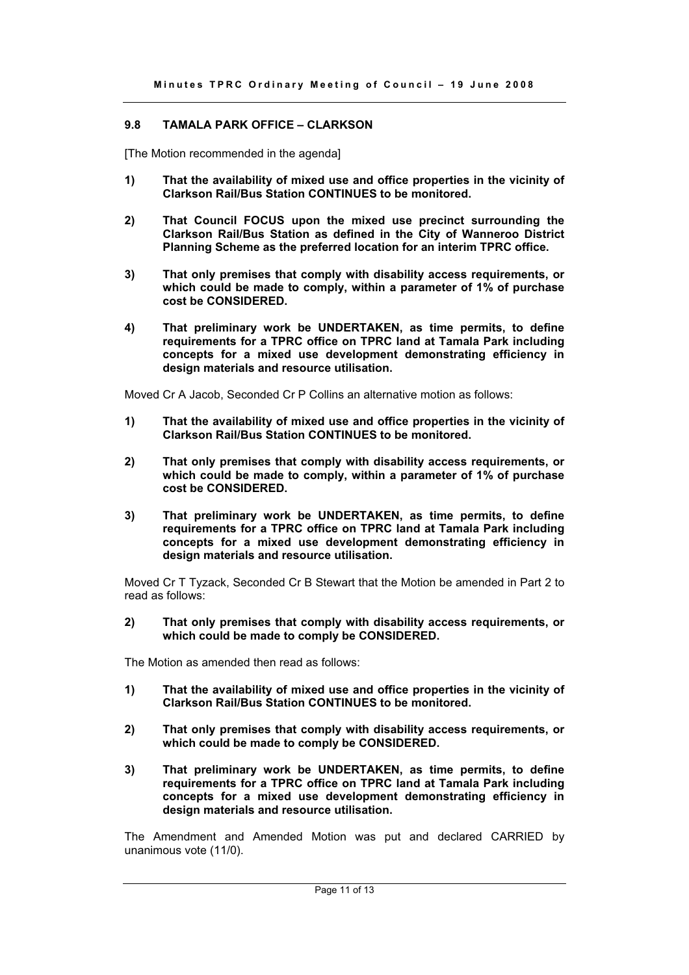# **9.8 TAMALA PARK OFFICE – CLARKSON**

[The Motion recommended in the agenda]

- **1) That the availability of mixed use and office properties in the vicinity of Clarkson Rail/Bus Station CONTINUES to be monitored.**
- **2) That Council FOCUS upon the mixed use precinct surrounding the Clarkson Rail/Bus Station as defined in the City of Wanneroo District Planning Scheme as the preferred location for an interim TPRC office.**
- **3) That only premises that comply with disability access requirements, or which could be made to comply, within a parameter of 1% of purchase cost be CONSIDERED.**
- **4) That preliminary work be UNDERTAKEN, as time permits, to define requirements for a TPRC office on TPRC land at Tamala Park including concepts for a mixed use development demonstrating efficiency in design materials and resource utilisation.**

Moved Cr A Jacob, Seconded Cr P Collins an alternative motion as follows:

- **1) That the availability of mixed use and office properties in the vicinity of Clarkson Rail/Bus Station CONTINUES to be monitored.**
- **2) That only premises that comply with disability access requirements, or which could be made to comply, within a parameter of 1% of purchase cost be CONSIDERED.**
- **3) That preliminary work be UNDERTAKEN, as time permits, to define requirements for a TPRC office on TPRC land at Tamala Park including concepts for a mixed use development demonstrating efficiency in design materials and resource utilisation.**

Moved Cr T Tyzack, Seconded Cr B Stewart that the Motion be amended in Part 2 to read as follows:

**2) That only premises that comply with disability access requirements, or which could be made to comply be CONSIDERED.** 

The Motion as amended then read as follows:

- **1) That the availability of mixed use and office properties in the vicinity of Clarkson Rail/Bus Station CONTINUES to be monitored.**
- **2) That only premises that comply with disability access requirements, or which could be made to comply be CONSIDERED.**
- **3) That preliminary work be UNDERTAKEN, as time permits, to define requirements for a TPRC office on TPRC land at Tamala Park including concepts for a mixed use development demonstrating efficiency in design materials and resource utilisation.**

The Amendment and Amended Motion was put and declared CARRIED by unanimous vote (11/0).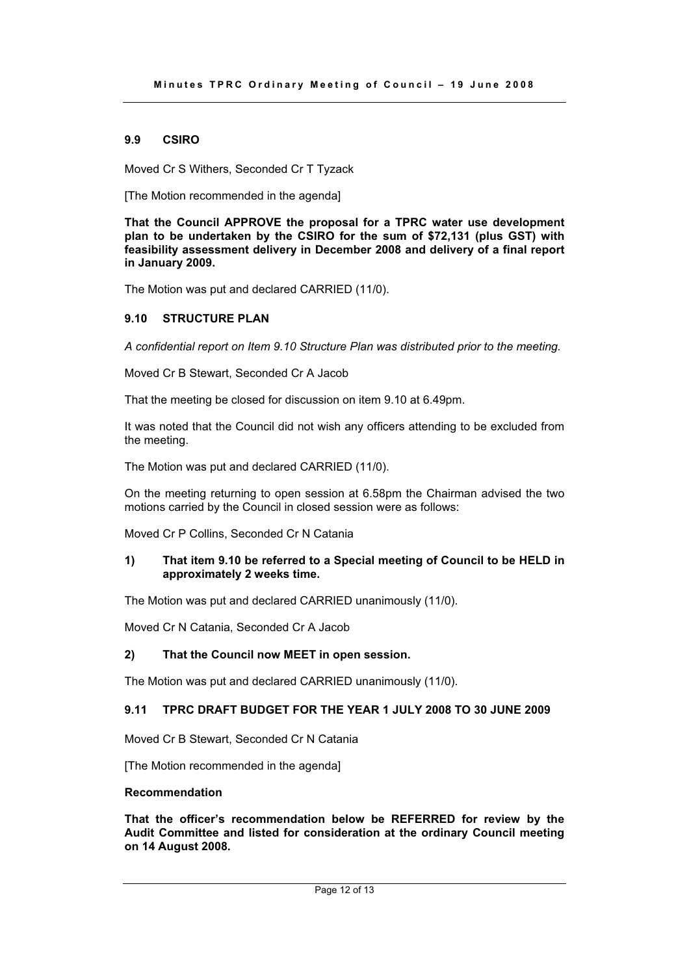# **9.9 CSIRO**

Moved Cr S Withers, Seconded Cr T Tyzack

[The Motion recommended in the agenda]

**That the Council APPROVE the proposal for a TPRC water use development plan to be undertaken by the CSIRO for the sum of \$72,131 (plus GST) with feasibility assessment delivery in December 2008 and delivery of a final report in January 2009.** 

The Motion was put and declared CARRIED (11/0).

# **9.10 STRUCTURE PLAN**

*A confidential report on Item 9.10 Structure Plan was distributed prior to the meeting.* 

Moved Cr B Stewart, Seconded Cr A Jacob

That the meeting be closed for discussion on item 9.10 at 6.49pm.

It was noted that the Council did not wish any officers attending to be excluded from the meeting.

The Motion was put and declared CARRIED (11/0).

On the meeting returning to open session at 6.58pm the Chairman advised the two motions carried by the Council in closed session were as follows:

Moved Cr P Collins, Seconded Cr N Catania

# **1) That item 9.10 be referred to a Special meeting of Council to be HELD in approximately 2 weeks time.**

The Motion was put and declared CARRIED unanimously (11/0).

Moved Cr N Catania, Seconded Cr A Jacob

# **2) That the Council now MEET in open session.**

The Motion was put and declared CARRIED unanimously (11/0).

# **9.11 TPRC DRAFT BUDGET FOR THE YEAR 1 JULY 2008 TO 30 JUNE 2009**

Moved Cr B Stewart, Seconded Cr N Catania

[The Motion recommended in the agenda]

#### **Recommendation**

**That the officer's recommendation below be REFERRED for review by the Audit Committee and listed for consideration at the ordinary Council meeting on 14 August 2008.**